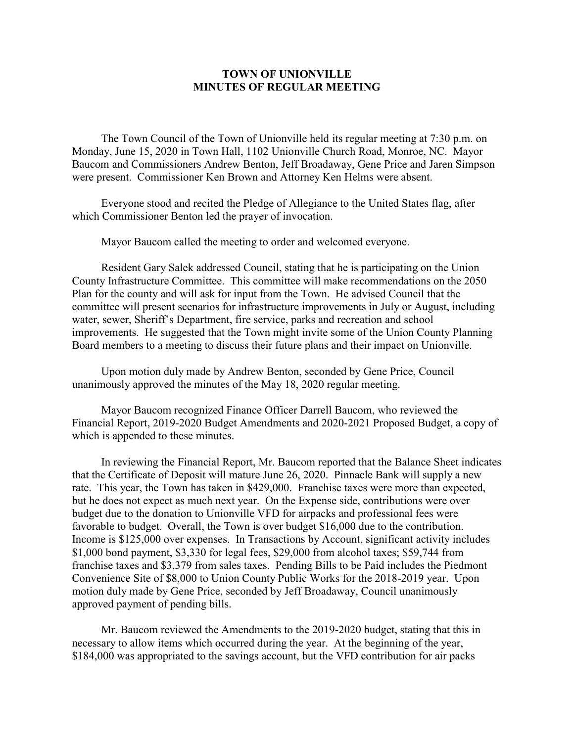## **TOWN OF UNIONVILLE MINUTES OF REGULAR MEETING**

The Town Council of the Town of Unionville held its regular meeting at 7:30 p.m. on Monday, June 15, 2020 in Town Hall, 1102 Unionville Church Road, Monroe, NC. Mayor Baucom and Commissioners Andrew Benton, Jeff Broadaway, Gene Price and Jaren Simpson were present. Commissioner Ken Brown and Attorney Ken Helms were absent.

Everyone stood and recited the Pledge of Allegiance to the United States flag, after which Commissioner Benton led the prayer of invocation.

Mayor Baucom called the meeting to order and welcomed everyone.

Resident Gary Salek addressed Council, stating that he is participating on the Union County Infrastructure Committee. This committee will make recommendations on the 2050 Plan for the county and will ask for input from the Town. He advised Council that the committee will present scenarios for infrastructure improvements in July or August, including water, sewer, Sheriff's Department, fire service, parks and recreation and school improvements. He suggested that the Town might invite some of the Union County Planning Board members to a meeting to discuss their future plans and their impact on Unionville.

Upon motion duly made by Andrew Benton, seconded by Gene Price, Council unanimously approved the minutes of the May 18, 2020 regular meeting.

Mayor Baucom recognized Finance Officer Darrell Baucom, who reviewed the Financial Report, 2019-2020 Budget Amendments and 2020-2021 Proposed Budget, a copy of which is appended to these minutes.

In reviewing the Financial Report, Mr. Baucom reported that the Balance Sheet indicates that the Certificate of Deposit will mature June 26, 2020. Pinnacle Bank will supply a new rate. This year, the Town has taken in \$429,000. Franchise taxes were more than expected, but he does not expect as much next year. On the Expense side, contributions were over budget due to the donation to Unionville VFD for airpacks and professional fees were favorable to budget. Overall, the Town is over budget \$16,000 due to the contribution. Income is \$125,000 over expenses. In Transactions by Account, significant activity includes \$1,000 bond payment, \$3,330 for legal fees, \$29,000 from alcohol taxes; \$59,744 from franchise taxes and \$3,379 from sales taxes. Pending Bills to be Paid includes the Piedmont Convenience Site of \$8,000 to Union County Public Works for the 2018-2019 year. Upon motion duly made by Gene Price, seconded by Jeff Broadaway, Council unanimously approved payment of pending bills.

Mr. Baucom reviewed the Amendments to the 2019-2020 budget, stating that this in necessary to allow items which occurred during the year. At the beginning of the year, \$184,000 was appropriated to the savings account, but the VFD contribution for air packs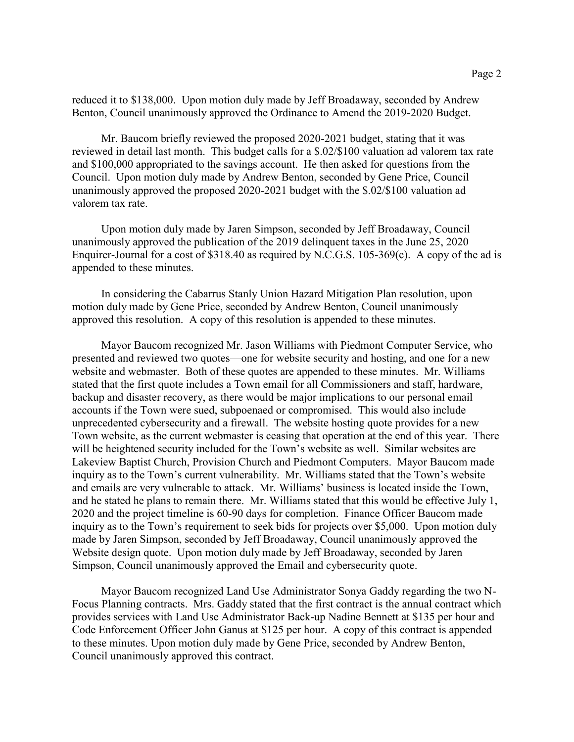reduced it to \$138,000. Upon motion duly made by Jeff Broadaway, seconded by Andrew Benton, Council unanimously approved the Ordinance to Amend the 2019-2020 Budget.

Mr. Baucom briefly reviewed the proposed 2020-2021 budget, stating that it was reviewed in detail last month. This budget calls for a \$.02/\$100 valuation ad valorem tax rate and \$100,000 appropriated to the savings account. He then asked for questions from the Council. Upon motion duly made by Andrew Benton, seconded by Gene Price, Council unanimously approved the proposed 2020-2021 budget with the \$.02/\$100 valuation ad valorem tax rate.

Upon motion duly made by Jaren Simpson, seconded by Jeff Broadaway, Council unanimously approved the publication of the 2019 delinquent taxes in the June 25, 2020 Enquirer-Journal for a cost of \$318.40 as required by N.C.G.S. 105-369(c). A copy of the ad is appended to these minutes.

In considering the Cabarrus Stanly Union Hazard Mitigation Plan resolution, upon motion duly made by Gene Price, seconded by Andrew Benton, Council unanimously approved this resolution. A copy of this resolution is appended to these minutes.

Mayor Baucom recognized Mr. Jason Williams with Piedmont Computer Service, who presented and reviewed two quotes—one for website security and hosting, and one for a new website and webmaster. Both of these quotes are appended to these minutes. Mr. Williams stated that the first quote includes a Town email for all Commissioners and staff, hardware, backup and disaster recovery, as there would be major implications to our personal email accounts if the Town were sued, subpoenaed or compromised. This would also include unprecedented cybersecurity and a firewall. The website hosting quote provides for a new Town website, as the current webmaster is ceasing that operation at the end of this year. There will be heightened security included for the Town's website as well. Similar websites are Lakeview Baptist Church, Provision Church and Piedmont Computers. Mayor Baucom made inquiry as to the Town's current vulnerability. Mr. Williams stated that the Town's website and emails are very vulnerable to attack. Mr. Williams' business is located inside the Town, and he stated he plans to remain there. Mr. Williams stated that this would be effective July 1, 2020 and the project timeline is 60-90 days for completion. Finance Officer Baucom made inquiry as to the Town's requirement to seek bids for projects over \$5,000. Upon motion duly made by Jaren Simpson, seconded by Jeff Broadaway, Council unanimously approved the Website design quote. Upon motion duly made by Jeff Broadaway, seconded by Jaren Simpson, Council unanimously approved the Email and cybersecurity quote.

Mayor Baucom recognized Land Use Administrator Sonya Gaddy regarding the two N-Focus Planning contracts. Mrs. Gaddy stated that the first contract is the annual contract which provides services with Land Use Administrator Back-up Nadine Bennett at \$135 per hour and Code Enforcement Officer John Ganus at \$125 per hour. A copy of this contract is appended to these minutes. Upon motion duly made by Gene Price, seconded by Andrew Benton, Council unanimously approved this contract.